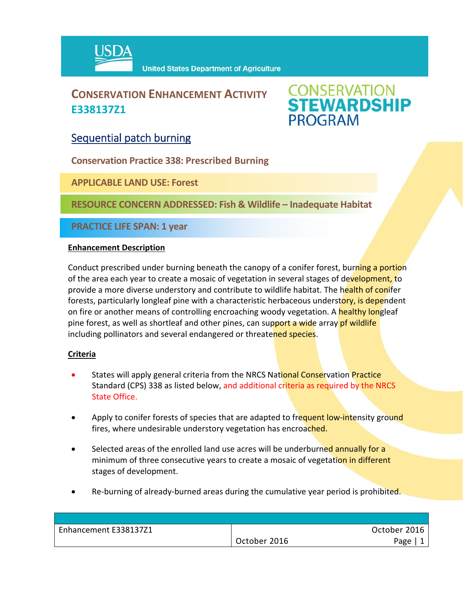

## **CONSERVATION ENHANCEMENT ACTIVITY E338137Z1**

# **CONSERVATION<br>STEWARDSHIP PROGRAM**

### Sequential patch burning

**Conservation Practice 338: Prescribed Burning**

**APPLICABLE LAND USE: Forest**

**RESOURCE CONCERN ADDRESSED: Fish & Wildlife – Inadequate Habitat**

**PRACTICE LIFE SPAN: 1 year**

#### **Enhancement Description**

Conduct prescribed under burning beneath the canopy of a conifer forest, burning a portion of the area each year to create a mosaic of vegetation in several stages of development, to provide a more diverse understory and contribute to wildlife habitat. The health of conifer forests, particularly longleaf pine with a characteristic herbaceous understory, is dependent on fire or another means of controlling encroaching woody vegetation. A healthy longleaf pine forest, as well as shortleaf and other pines, can support a wide array pf wildlife including pollinators and several endangered or threatened species.

#### **Criteria**

- States will apply general criteria from the NRCS National Conservation Practice Standard (CPS) 338 as listed below, and additional criteria as required by the NRCS State Office.
- Apply to conifer forests of species that are adapted to frequent low-intensity ground fires, where undesirable understory vegetation has encroached.
- Selected areas of the enrolled land use acres will be underburned annually for a minimum of three consecutive years to create a mosaic of vegetation in different stages of development.
- Re-burning of already-burned areas during the cumulative year period is prohibited.

| Enhancement E338137Z1 |              | October 2016 |
|-----------------------|--------------|--------------|
|                       | October 2016 | Page         |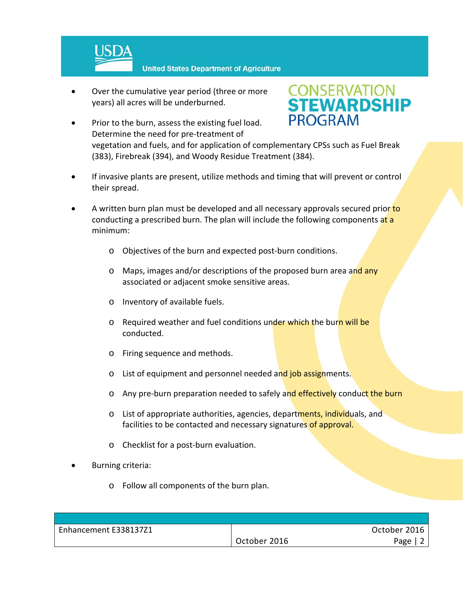

**United States Department of Agriculture** 

 Over the cumulative year period (three or more years) all acres will be underburned.



- Prior to the burn, assess the existing fuel load. Determine the need for pre‐treatment of vegetation and fuels, and for application of complementary CPSs such as Fuel Break (383), Firebreak (394), and Woody Residue Treatment (384).
- If invasive plants are present, utilize methods and timing that will prevent or control their spread.
- A written burn plan must be developed and all necessary approvals secured prior to conducting a prescribed burn. The plan will include the following components at a minimum:
	- o Objectives of the burn and expected post‐burn conditions.
	- $\circ$  Maps, images and/or descriptions of the proposed burn area and any associated or adjacent smoke sensitive areas.
	- o Inventory of available fuels.
	- o Required weather and fuel conditions under which the burn will be conducted.
	- o Firing sequence and methods.
	- o List of equipment and personnel needed and job assignments.
	- o Any pre-burn preparation needed to safely and effectively conduct the burn
	- o List of appropriate authorities, agencies, departments, individuals, and facilities to be contacted and necessary signatures of approval.
	- o Checklist for a post‐burn evaluation.
- Burning criteria:
	- o Follow all components of the burn plan.

| Enhancement E338137Z1 |              | October 2016 |
|-----------------------|--------------|--------------|
|                       | October 2016 | Page         |